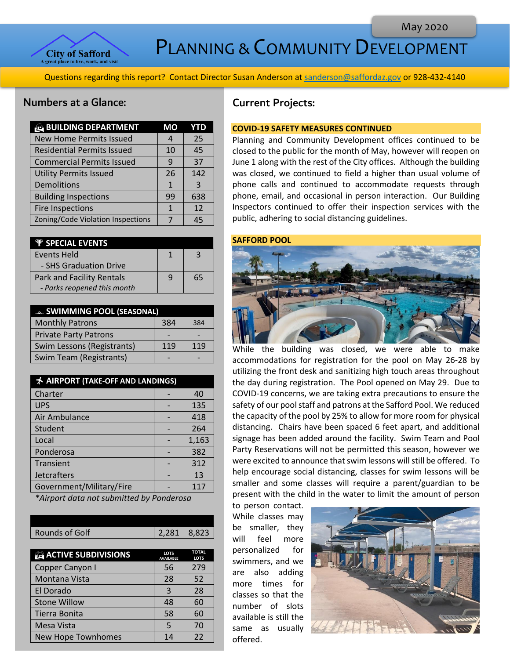

PLANNING & COMMUNITY DEVELOPMENT

Questions regarding this report? Contact Director Susan Anderson a[t sanderson@saffordaz.gov](mailto:sanderson@saffordaz.gov) or 928-432-4140

## Numbers at a Glance:

| <b>BUILDING DEPARTMENT</b>        | МO | YTD |
|-----------------------------------|----|-----|
| <b>New Home Permits Issued</b>    |    | 25  |
| <b>Residential Permits Issued</b> | 10 | 45  |
| <b>Commercial Permits Issued</b>  | 9  | 37  |
| <b>Utility Permits Issued</b>     | 26 | 142 |
| Demolitions                       | 1  | ર   |
| <b>Building Inspections</b>       | 99 | 638 |
| <b>Fire Inspections</b>           | 1  | 12  |
| Zoning/Code Violation Inspections |    | 45  |

| <b><i>W</i></b> SPECIAL EVENTS   |   |    |
|----------------------------------|---|----|
| Events Held                      |   | 2  |
| - SHS Graduation Drive           |   |    |
| <b>Park and Facility Rentals</b> | q | 65 |
| - Parks reopened this month      |   |    |

| <b>E. SWIMMING POOL (SEASONAL)</b> |     |     |
|------------------------------------|-----|-----|
| <b>Monthly Patrons</b>             | 384 | 384 |
| <b>Private Party Patrons</b>       |     |     |
| Swim Lessons (Registrants)         | 119 | 119 |
| Swim Team (Registrants)            |     |     |

| A AIRPORT (TAKE-OFF AND LANDINGS) |  |       |
|-----------------------------------|--|-------|
| Charter                           |  | 40    |
| <b>UPS</b>                        |  | 135   |
| Air Ambulance                     |  | 418   |
| Student                           |  | 264   |
| Local                             |  | 1,163 |
| Ponderosa                         |  | 382   |
| Transient                         |  | 312   |
| <b>Jetcrafters</b>                |  | 13    |
| Government/Military/Fire          |  | 117   |

*\*Airport data not submitted by Ponderosa*

|  | Rounds of Golf | 2,281 8,823 |
|--|----------------|-------------|
|--|----------------|-------------|

| <b>ACTIVE SUBDIVISIONS</b> | <b>LOTS</b><br><b>AVAILABLE</b> | <b>TOTAL</b><br><b>LOTS</b> |
|----------------------------|---------------------------------|-----------------------------|
| Copper Canyon I            | 56                              | 279                         |
| Montana Vista              | 28                              | 52                          |
| El Dorado                  | 3                               | 28                          |
| <b>Stone Willow</b>        | 48                              | 60                          |
| Tierra Bonita              | 58                              | 60                          |
| Mesa Vista                 | 5                               | 70                          |
| <b>New Hope Townhomes</b>  | 14                              | 22                          |

# Current Projects:

#### **COVID-19 SAFETY MEASURES CONTINUED**

Planning and Community Development offices continued to be closed to the public for the month of May, however will reopen on June 1 along with the rest of the City offices. Although the building was closed, we continued to field a higher than usual volume of phone calls and continued to accommodate requests through phone, email, and occasional in person interaction. Our Building Inspectors continued to offer their inspection services with the public, adhering to social distancing guidelines.

#### **SAFFORD POOL**



While the building was closed, we were able to make accommodations for registration for the pool on May 26-28 by utilizing the front desk and sanitizing high touch areas throughout the day during registration. The Pool opened on May 29. Due to COVID-19 concerns, we are taking extra precautions to ensure the safety of our pool staff and patrons at the Safford Pool. We reduced the capacity of the pool by 25% to allow for more room for physical distancing. Chairs have been spaced 6 feet apart, and additional signage has been added around the facility. Swim Team and Pool Party Reservations will not be permitted this season, however we were excited to announce that swim lessons will still be offered. To help encourage social distancing, classes for swim lessons will be smaller and some classes will require a parent/guardian to be present with the child in the water to limit the amount of person

to person contact. While classes may be smaller, they will feel more personalized for swimmers, and we are also adding more times for classes so that the number of slots available is still the same as usually offered.